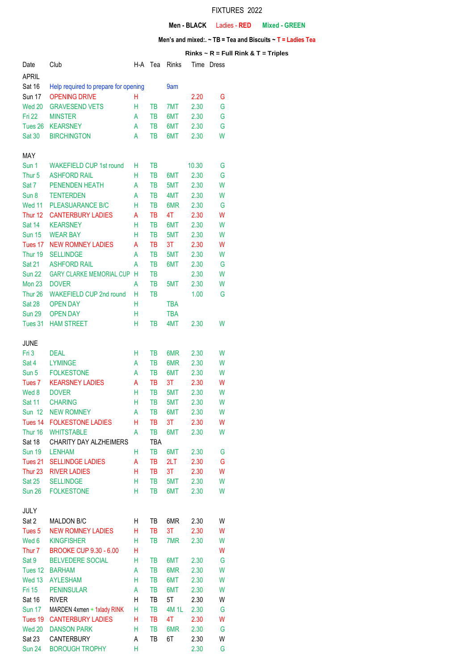## FIXTURES 2022

## **Men - BLACK** Ladies - **RED Mixed - GREEN**

## **Men's and mixed:. ~ TB = Tea and Biscuits ~ T = Ladies Tea**

## **Rinks ~ R = Full Rink & T = Triples**

| Date               | Club                                 | H-A | Tea       | Rinks      | Time  | Dress |
|--------------------|--------------------------------------|-----|-----------|------------|-------|-------|
| <b>APRIL</b>       |                                      |     |           |            |       |       |
| <b>Sat 16</b>      | Help required to prepare for opening |     |           | 9am        |       |       |
| <b>Sun 17</b>      | <b>OPENING DRIVE</b>                 | Н   |           |            | 2.20  | G     |
| Wed 20             | <b>GRAVESEND VETS</b>                | Н   | <b>TB</b> | 7MT        | 2.30  | G     |
| <b>Fri 22</b>      | <b>MINSTER</b>                       | A   | TВ        | 6MT        | 2.30  | G     |
| Tues 26            | <b>KEARSNEY</b>                      | A   | TB        | 6MT        | 2.30  | G     |
| <b>Sat 30</b>      | <b>BIRCHINGTON</b>                   | A   | <b>TB</b> | 6MT        | 2.30  | W     |
|                    |                                      |     |           |            |       |       |
| MAY                |                                      |     |           |            |       |       |
| Sun 1              | <b>WAKEFIELD CUP 1st round</b>       | н   | TB        |            | 10.30 | G     |
| Thur <sub>5</sub>  | <b>ASHFORD RAIL</b>                  | Н   | TB        | 6MT        | 2.30  | G     |
| Sat 7              | PENENDEN HEATH                       | A   | TB        | 5MT        | 2.30  | W     |
| Sun 8              | <b>TENTERDEN</b>                     | A   | TB        | 4MT        | 2.30  | W     |
| Wed 11             | <b>PLEASUARANCE B/C</b>              | н   | TB        | 6MR        | 2.30  | G     |
| Thur 12            | <b>CANTERBURY LADIES</b>             | A   | TB        | 4T         | 2.30  | W     |
| Sat 14             | <b>KEARSNEY</b>                      | H   | <b>TB</b> | 6MT        | 2.30  | W     |
| <b>Sun 15</b>      | <b>WEAR BAY</b>                      | н   | <b>TB</b> | 5MT        | 2.30  | W     |
| Tues 17            | <b>NEW ROMNEY LADIES</b>             | A   | TB        | 3T         | 2.30  | W     |
| Thur 19            | <b>SELLINDGE</b>                     | A   | <b>TB</b> | 5MT        | 2.30  | W     |
| <b>Sat 21</b>      | <b>ASHFORD RAIL</b>                  | A   | <b>TB</b> | 6MT        | 2.30  | G     |
| <b>Sun 22</b>      | <b>GARY CLARKE MEMORIAL CUP</b>      | H   | TB        |            | 2.30  | W     |
| <b>Mon 23</b>      | <b>DOVER</b>                         | A   | TB        | 5MT        | 2.30  | W     |
| Thur <sub>26</sub> | <b>WAKEFIELD CUP 2nd round</b>       | н   | TВ        |            | 1.00  | G     |
| <b>Sat 28</b>      | <b>OPEN DAY</b>                      | н   |           | <b>TBA</b> |       |       |
| <b>Sun 29</b>      | <b>OPEN DAY</b>                      | Н   |           | <b>TBA</b> |       |       |
| Tues 31            | <b>HAM STREET</b>                    | Н   | TВ        | 4MT        | 2.30  | W     |
|                    |                                      |     |           |            |       |       |
| <b>JUNE</b>        |                                      |     |           |            |       |       |
| Fri 3              | <b>DEAL</b>                          | H   | TВ        | 6MR        | 2.30  | W     |
| Sat 4              | <b>LYMINGE</b>                       | A   | <b>TB</b> | 6MR        | 2.30  | W     |
| Sun 5              | <b>FOLKESTONE</b>                    | A   | <b>TB</b> | 6MT        | 2.30  | W     |
| Tues <sub>7</sub>  | <b>KEARSNEY LADIES</b>               | Α   | TB        | 3T         | 2.30  | W     |
| Wed 8              | <b>DOVER</b>                         | н   | TВ        | 5MT        | 2.30  | W     |
| <b>Sat 11</b>      | <b>CHARING</b>                       | Н   | TВ        | 5MT        | 2.30  | W     |
| <b>Sun 12</b>      | <b>NEW ROMNEY</b>                    | A   | TВ        | 6MT        | 2.30  | W     |
| Tues 14            | <b>FOLKESTONE LADIES</b>             | Н   | TВ        | 3T         | 2.30  | W     |
| Thur 16            | <b>WHITSTABLE</b>                    | А   | TB        | 6MT        | 2.30  | W     |
| Sat 18             | CHARITY DAY ALZHEIMERS               |     | TBA       |            |       |       |
| <b>Sun 19</b>      | <b>LENHAM</b>                        | H   | TB        | 6MT        | 2.30  | G     |
| Tues 21            | <b>SELLINDGE LADIES</b>              | Α   | TB        | 2LT        | 2.30  | G     |
| Thur <sub>23</sub> | <b>RIVER LADIES</b>                  | Н   | TB        | 3T         | 2.30  | W     |
| <b>Sat 25</b>      | <b>SELLINDGE</b>                     | Н   | TB        | 5MT        | 2.30  | W     |
| <b>Sun 26</b>      | <b>FOLKESTONE</b>                    | Н   | TB        | 6MT        | 2.30  | W     |
|                    |                                      |     |           |            |       |       |
| JULY               |                                      |     |           |            |       |       |
| Sat 2              | MALDON B/C                           | Н   | TB        | 6MR        | 2.30  | W     |
| Tues <sub>5</sub>  | <b>NEW ROMNEY LADIES</b>             | Н   | TB        | 3T         | 2.30  | W     |
| Wed 6              | <b>KINGFISHER</b>                    | Н   | TB        | 7MR        | 2.30  | W     |
| Thur <sub>7</sub>  | <b>BROOKE CUP 9.30 - 6.00</b>        | Н   |           |            |       | W     |
| Sat 9              | <b>BELVEDERE SOCIAL</b>              | Н   | TB        | 6MT        | 2.30  | G     |
| Tues 12            | <b>BARHAM</b>                        | A   | TB        | 6MR        | 2.30  | W     |
| Wed 13             | <b>AYLESHAM</b>                      | Н   | TB        | 6MT        | 2.30  | W     |
| <b>Fri 15</b>      | <b>PENINSULAR</b>                    | A   | TB        | 6MT        | 2.30  | W     |
| Sat 16             | <b>RIVER</b>                         | Η   | TB        | 5T         | 2.30  | W     |
| <b>Sun 17</b>      | MARDEN 4xmen + 1xlady RINK           | Н   | TB        | 4M 1L      | 2.30  | G     |
| Tues 19            | <b>CANTERBURY LADIES</b>             | н   | TВ        | 4T         | 2.30  | W     |
| Wed 20             | <b>DANSON PARK</b>                   | Н   | TB        | 6MR        | 2.30  | G     |
| Sat 23             | CANTERBURY                           | А   | TB        | 6T         | 2.30  | W     |
| <b>Sun 24</b>      | <b>BOROUGH TROPHY</b>                | Н   |           |            | 2.30  | G     |